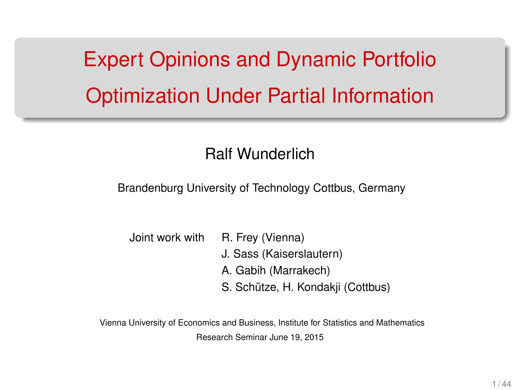Expert Opinions and Dynamic Portfolio Optimization Under Partial Information

#### Ralf Wunderlich

Brandenburg University of Technology Cottbus, Germany

| Joint work with | R. Frey (Vienna)                  |
|-----------------|-----------------------------------|
|                 | J. Sass (Kaiserslautern)          |
|                 | A. Gabih (Marrakech)              |
|                 | S. Schütze, H. Kondakji (Cottbus) |

Vienna University of Economics and Business, Institute for Statistics and Mathematics Research Seminar June 19, 2015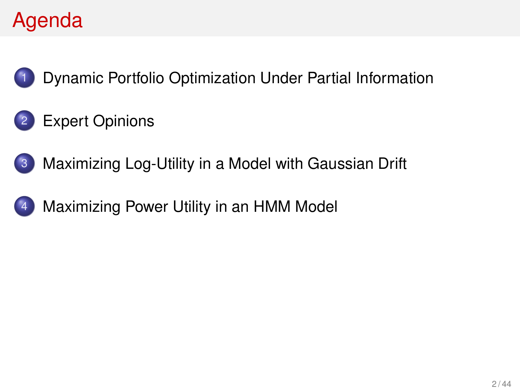# Agenda



[Dynamic Portfolio Optimization Under Partial Information](#page-2-0)

#### [Expert Opinions](#page-9-0)



[Maximizing Power Utility in an HMM Model](#page-25-0)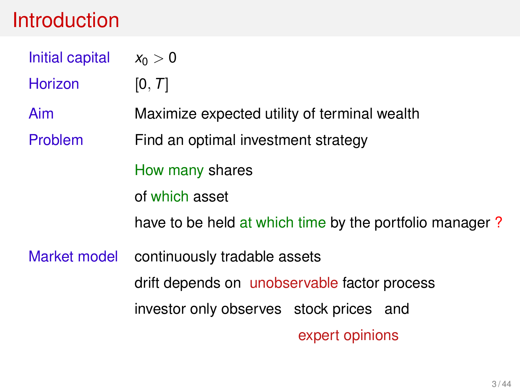#### <span id="page-2-0"></span>Introduction

| Initial capital | $x_0 > 0$                                               |  |  |
|-----------------|---------------------------------------------------------|--|--|
| Horizon         | [0, T]                                                  |  |  |
| Aim             | Maximize expected utility of terminal wealth            |  |  |
| Problem         | Find an optimal investment strategy                     |  |  |
|                 | How many shares                                         |  |  |
|                 | of which asset                                          |  |  |
|                 | have to be held at which time by the portfolio manager? |  |  |
| Market model    | continuously tradable assets                            |  |  |
|                 | drift depends on unobservable factor process            |  |  |
|                 | investor only observes stock prices and                 |  |  |
|                 | expert opinions                                         |  |  |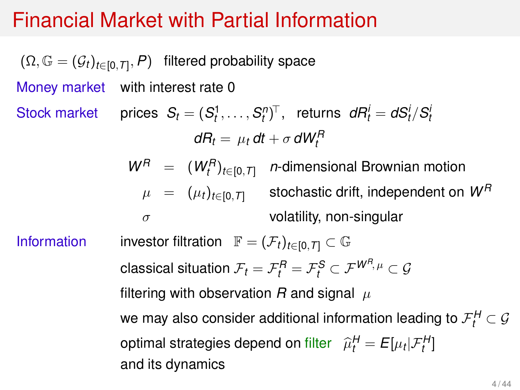#### Financial Market with Partial Information

 $(\Omega, \mathbb G=(\mathcal G_t)_{t\in [0,T]},\text{$\mathcal P$})$  filtered probability space Money market with interest rate 0 Stock market prices  $S_t = (S_t^1, \ldots, S_t^n)^\top$ , returns  $dR_t^i = dS_t^i/S_t^i$  $dR_t = \mu_t dt + \sigma dW_t^R$  $W^R$  =  $(W^R_t)_{t \in [0,T]}$  *n*-dimensional Brownian motion  $\mu = (\mu_t)_{t \in [0,T]}$  stochastic drift, independent on  $W^R$  $\sigma$  volatility, non-singular Information investor filtration  $\mathbb{F} = (\mathcal{F}_t)_{t \in [0, T]} \subset \mathbb{G}$ classical situation  $\mathcal{F}_t = \mathcal{F}_t^{\mathcal{R}} = \mathcal{F}_t^{\mathcal{S}} \subset \mathcal{F}^{\mathcal{W}^{\mathcal{R}}, \mu} \subset \mathcal{G}$ filtering with observation  $R$  and signal  $\mu$ we may also consider additional information leading to  $\mathcal{F}_t^H \subset \mathcal{G}$ optimal strategies depend on filter  $\hat{\mu}_t^H = E[\mu_t | \mathcal{F}_t^H]$ and its dynamics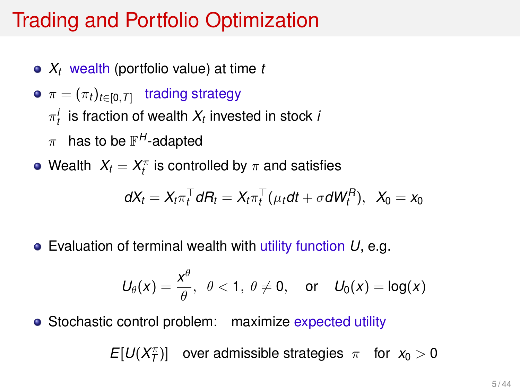# Trading and Portfolio Optimization

- *X<sup>t</sup>* wealth (portfolio value) at time *t*
- $\pi = (\pi_t)_{t \in [0, T]}$  trading strategy
	- $\pi_t^i$  is fraction of wealth  $X_t$  invested in stock *i*
	- $\pi$  has to be  $\mathbb{F}^{H}$ -adapted
- Wealth  $X_t = X_t^\pi$  is controlled by  $\pi$  and satisfies

$$
dX_t = X_t \pi_t^\top dH_t = X_t \pi_t^\top (\mu_t dt + \sigma dW_t^H), \ \ X_0 = x_0
$$

Evaluation of terminal wealth with utility function *U*, e.g.

$$
U_{\theta}(x) = \frac{x^{\theta}}{\theta}, \ \ \theta < 1, \ \theta \neq 0, \quad \text{or} \quad U_0(x) = \log(x)
$$

• Stochastic control problem: maximize expected utility

 $E[U(X_T^{\pi})]$  over admissible strategies  $\pi$  for  $x_0 > 0$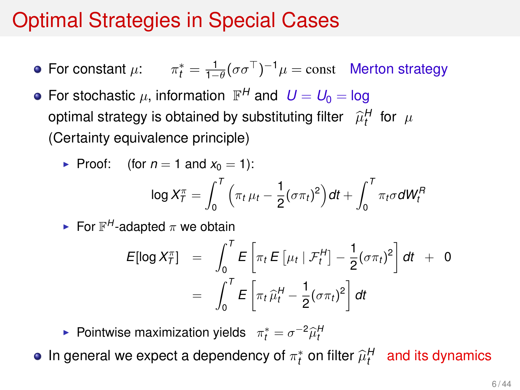# Optimal Strategies in Special Cases

- For constant  $\mu$ :  $\pi_t^* = \frac{1}{1-\theta} (\sigma \sigma^\top)^{-1} \mu = \text{const}$  Merton strategy
- For stochastic  $\mu$ , information  $\mathbb{F}^{H}$  and  $U = U_{0} =$  log optimal strategy is obtained by substituting filter  $\widehat{\mu}_{t}^{H}$  for  $\mu$ (Certainty equivalence principle)

• Proof: (for 
$$
n = 1
$$
 and  $x_0 = 1$ ):

$$
\log X_T^\pi = \int_0^T \Big( \pi_t \, \mu_t - \frac{1}{2} (\sigma \pi_t)^2 \Big) dt + \int_0^T \pi_t \sigma dW_t^R
$$

For  $\mathbb{F}^H$ -adapted  $\pi$  we obtain

$$
E[\log X_T^{\pi}] = \int_0^T E\left[\pi_t E\left[\mu_t | \mathcal{F}_t^H\right] - \frac{1}{2}(\sigma \pi_t)^2\right] dt + 0
$$
  
= 
$$
\int_0^T E\left[\pi_t \hat{\mu}_t^H - \frac{1}{2}(\sigma \pi_t)^2\right] dt
$$

**Pointwise maximization yields**  $\pi_t^* = \sigma^{-2} \widehat{\mu}_t^H$ 

In general we expect a dependency of  $\pi^*_t$  on filter  $\widehat{\mu}^H_t$  and its dynamics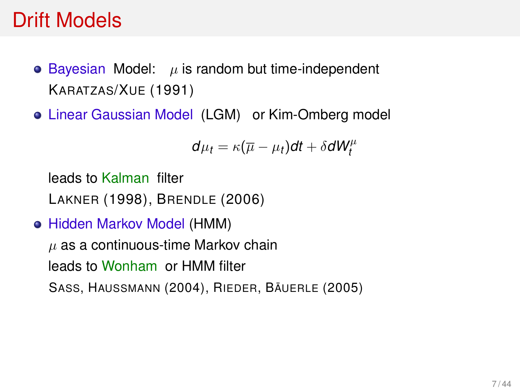#### Drift Models

- $\bullet$  Bayesian Model:  $\mu$  is random but time-independent KARATZAS/XUE (1991)
- Linear Gaussian Model (LGM) or Kim-Omberg model

$$
d\mu_t = \kappa(\overline{\mu}-\mu_t)dt + \delta dW_t^{\mu}
$$

leads to Kalman filter LAKNER (1998), BRENDLE (2006)

Hidden Markov Model (HMM)

 $\mu$  as a continuous-time Markov chain leads to Wonham or HMM filter SASS, HAUSSMANN (2004), RIEDER, BÄUERLE (2005)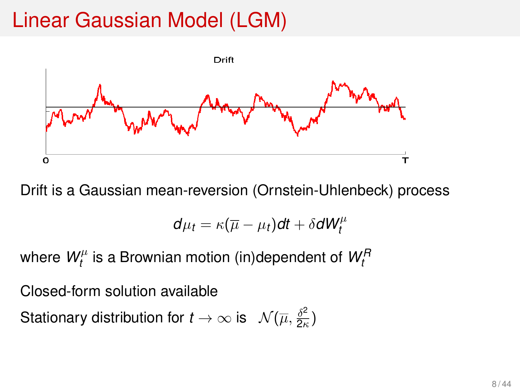# Linear Gaussian Model (LGM)



Drift is a Gaussian mean-reversion (Ornstein-Uhlenbeck) process

$$
d\mu_t = \kappa(\overline{\mu}-\mu_t)dt + \delta dW_t^{\mu}
$$

where  $W_t^{\mu}$ *t* is a Brownian motion (in)dependent of *W<sup>R</sup> t*

Closed-form solution available

Stationary distribution for  $t\to\infty$  is  $\mathcal{N}(\overline{\mu},\frac{\delta^2}{2\kappa})$  $\frac{\partial^2}{\partial \kappa}$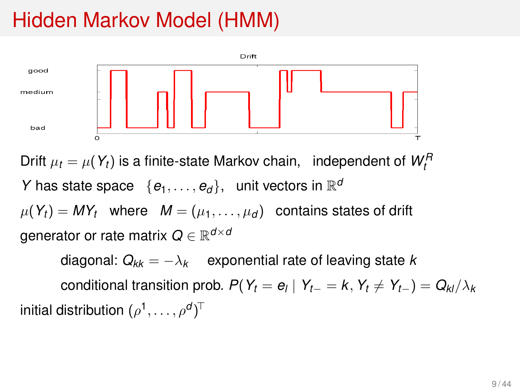# Hidden Markov Model (HMM)



Drift  $\mu_t = \mu(Y_t)$  is a finite-state Markov chain, independent of  $W_t^R$ *Y* has state space  $\{e_1, \ldots, e_d\}$ , unit vectors in  $\mathbb{R}^d$  $\mu(Y_t) = MY_t$  where  $M = (\mu_1, \ldots, \mu_d)$  contains states of drift generator or rate matrix *Q* ∈ R *d*×*d*

diagonal:  $Q_{kk} = -\lambda_k$  exponential rate of leaving state *k*  $\text{conditional transition prob. } P(Y_t = e_l \mid Y_{t-} = k, Y_t \neq Y_{t-}) = Q_{kl}/\lambda_k$ initial distribution  $(\rho^1,\ldots,\rho^d)^\top$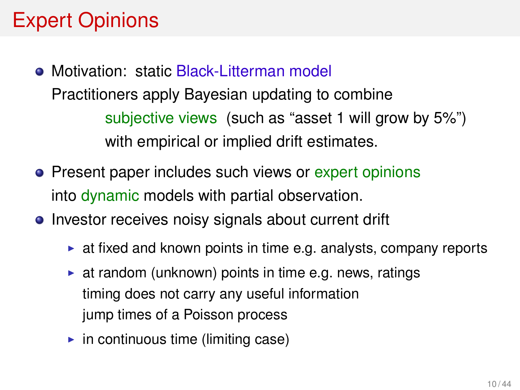# <span id="page-9-0"></span>Expert Opinions

- Motivation: static Black-Litterman model Practitioners apply Bayesian updating to combine subjective views (such as "asset 1 will grow by 5%") with empirical or implied drift estimates.
- Present paper includes such views or expert opinions into dynamic models with partial observation.
- Investor receives noisy signals about current drift
	- $\triangleright$  at fixed and known points in time e.g. analysts, company reports
	- $\triangleright$  at random (unknown) points in time e.g. news, ratings timing does not carry any useful information jump times of a Poisson process
	- $\blacktriangleright$  in continuous time (limiting case)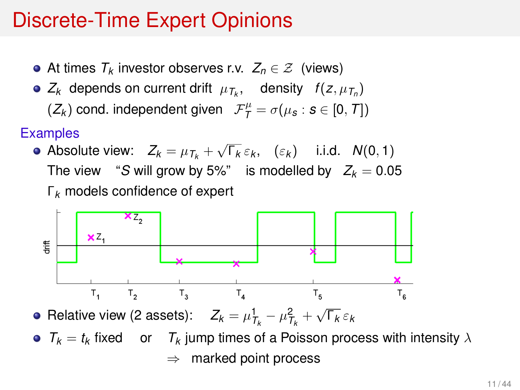#### Discrete-Time Expert Opinions

- At times *T<sup>k</sup>* investor observes r.v. *Z<sup>n</sup>* ∈ Z (views)
- $Z_k$  depends on current drift  $\mu_{\mathcal{T}_k}$ , density  $f(z, \mu_{\mathcal{T}_n})$

 $(Z_k)$  cond. independent given  $\mathcal{F}_\mathcal{T}^\mu = \sigma(\mu_\mathcal{S} : \mathcal{S} \in [0, \mathcal{T}])$ 

#### **Examples**

• Absolute view: 
$$
Z_k = \mu_{T_k} + \sqrt{\Gamma_k} \varepsilon_k
$$
,  $(\varepsilon_k)$  i.i.d.  $N(0, 1)$   
The view "S will grow by 5%" is modelled by  $Z_k = 0.05$   
 $\Gamma_k$  models confidence of expert



Relative view (2 assets):  $Z_k = \mu_{T_k}^1 - \mu_{T_k}^2 + \sqrt{\Gamma_k} \varepsilon_k$ 

•  $T_k = t_k$  fixed or  $T_k$  jump times of a Poisson process with intensity  $\lambda$  $\Rightarrow$  marked point process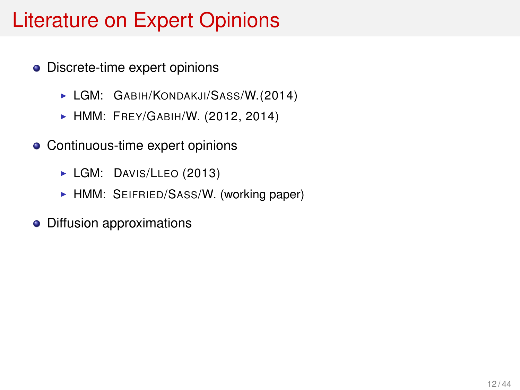# Literature on Expert Opinions

- **•** Discrete-time expert opinions
	- **LGM: GABIH/KONDAKJI/SASS/W.(2014)**
	- **HMM: FREY/GABIH/W. (2012, 2014)**
- Continuous-time expert opinions
	- LGM: DAVIS/LLEO (2013)
	- HMM: SEIFRIED/SASS/W. (working paper)
- Diffusion approximations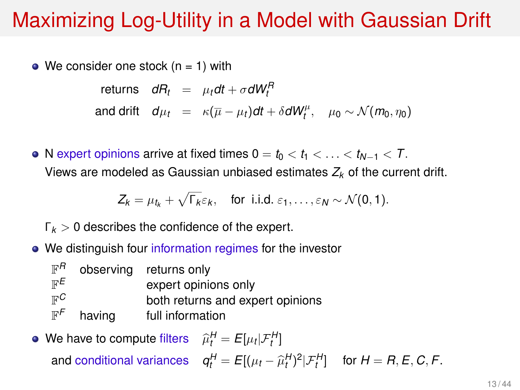# <span id="page-12-0"></span>Maximizing Log-Utility in a Model with Gaussian Drift

 $\bullet$  We consider one stock (n = 1) with

 $\mathsf{r}$ eturns  $dR_t = \mu_t dt + \sigma dW_t^H$ and drift  $d\mu_t = \kappa(\overline{\mu} - \mu_t)dt + \delta dW_t^{\mu}, \quad \mu_0 \sim \mathcal{N}(m_0, \eta_0)$ 

• N expert opinions arrive at fixed times  $0 = t_0 < t_1 < \ldots < t_{N-1} < T$ . Views are modeled as Gaussian unbiased estimates *Z<sup>k</sup>* of the current drift.

$$
Z_k = \mu_{t_k} + \sqrt{\Gamma_k} \varepsilon_k, \quad \text{for i.i.d. } \varepsilon_1, \ldots, \varepsilon_N \sim \mathcal{N}(0, 1).
$$

Γ*<sup>k</sup>* > 0 describes the confidence of the expert.

• We distinguish four information regimes for the investor

|        | observing returns only           |
|--------|----------------------------------|
|        | expert opinions only             |
|        | both returns and expert opinions |
| having | full information                 |
|        |                                  |

#### We have to compute filters  $\widehat{\mu}_t^H = E[\mu_t | \mathcal{F}_t^H]$ and conditional variances  $q_t^H = E[(\mu_t - \widehat{\mu}_t^H)^2 | \mathcal{F}_t^H]$  for  $H = R, E, C, F$ .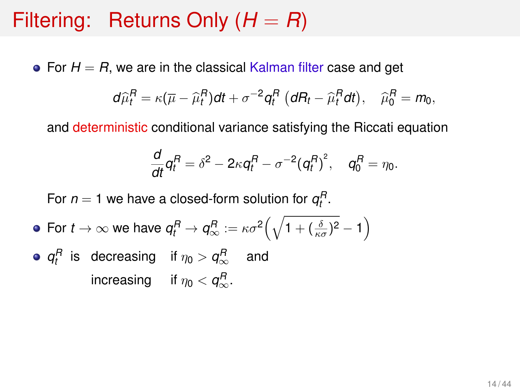#### Filtering: Returns Only  $(H = R)$

• For  $H = R$ , we are in the classical Kalman filter case and get

$$
d\widehat{\mu}_t^R = \kappa (\overline{\mu} - \widehat{\mu}_t^R) dt + \sigma^{-2} q_t^R \left( dR_t - \widehat{\mu}_t^R dt \right), \quad \widehat{\mu}_0^R = m_0,
$$

and deterministic conditional variance satisfying the Riccati equation

$$
\frac{d}{dt}q_t^R=\delta^2-2\kappa q_t^R-\sigma^{-2}(q_t^R)^2,\quad q_0^R=\eta_0.
$$

For  $n = 1$  we have a closed-form solution for  $q_t^R$ .

• For 
$$
t \to \infty
$$
 we have  $q_t^R \to q_\infty^R := \kappa \sigma^2 \left( \sqrt{1 + (\frac{\delta}{\kappa \sigma})^2} - 1 \right)$ 

• 
$$
q_t^R
$$
 is decreasing if  $\eta_0 > q_\infty^R$  and increasing if  $\eta_0 < q_\infty^R$ .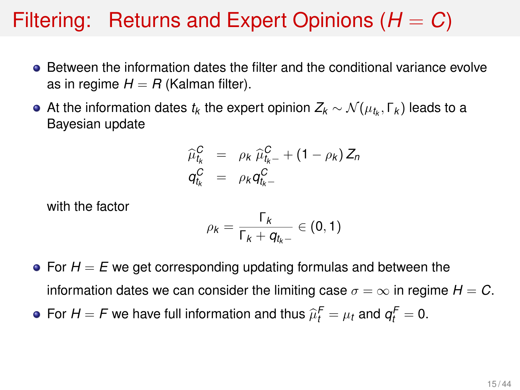#### Filtering: Returns and Expert Opinions  $(H = C)$

- **•** Between the information dates the filter and the conditional variance evolve as in regime  $H = R$  (Kalman filter).
- At the information dates  $t_k$  the expert opinion  $Z_k \sim \mathcal{N}(\mu_{t_k},\Gamma_k)$  leads to a Bayesian update

$$
\widehat{\mu}_{t_k}^C = \rho_k \widehat{\mu}_{t_k-}^C + (1 - \rho_k) Z_n
$$
  
\n
$$
q_{t_k}^C = \rho_k q_{t_k-}^C
$$

with the factor

$$
\rho_k = \frac{\Gamma_k}{\Gamma_k + q_{t_k-}} \in (0,1)
$$

- $\bullet$  For  $H = E$  we get corresponding updating formulas and between the information dates we can consider the limiting case  $\sigma = \infty$  in regime  $H = C$ .
- For  $H = F$  we have full information and thus  $\widehat{\mu}_t^F = \mu_t$  and  $q_t^F = 0$ .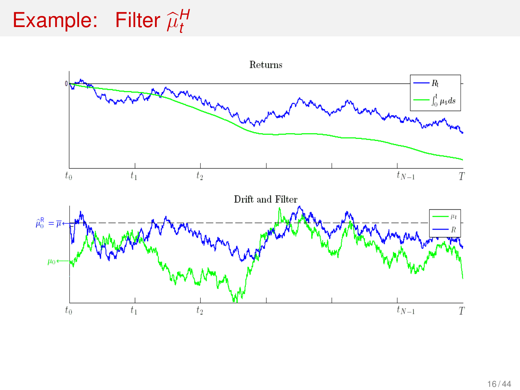#### Example: Filter  $\widehat{\mu}^H_t$ *t*

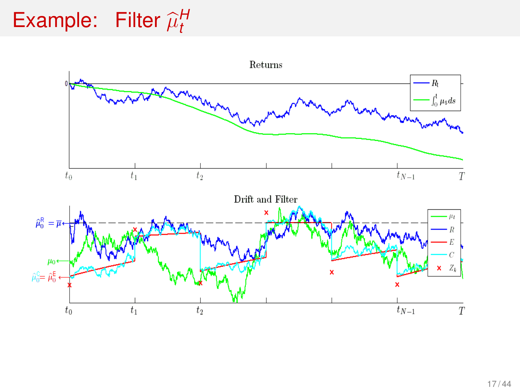#### Example: Filter  $\widehat{\mu}^H_t$ *t*

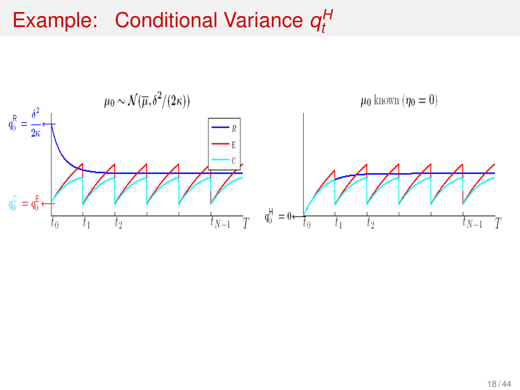#### Example: Conditional Variance  $q_t^H$ *t*

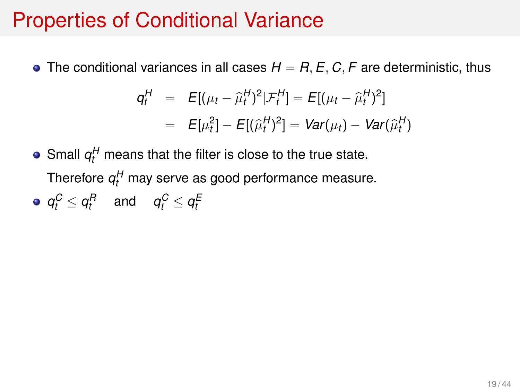#### Properties of Conditional Variance

• The conditional variances in all cases  $H = R$ ,  $E$ ,  $C$ ,  $F$  are deterministic, thus

$$
q_t^H = E[(\mu_t - \hat{\mu}_t^H)^2 | \mathcal{F}_t^H] = E[(\mu_t - \hat{\mu}_t^H)^2]
$$
  
=  $E[\mu_t^2] - E[(\hat{\mu}_t^H)^2] = Var(\mu_t) - Var(\hat{\mu}_t^H)$ 

- Small  $q_t^H$  means that the filter is close to the true state. Therefore  $q_t^H$  may serve as good performance measure.
- $q_t^C \le q_t^R$  and  $q_t^C \le q_t^E$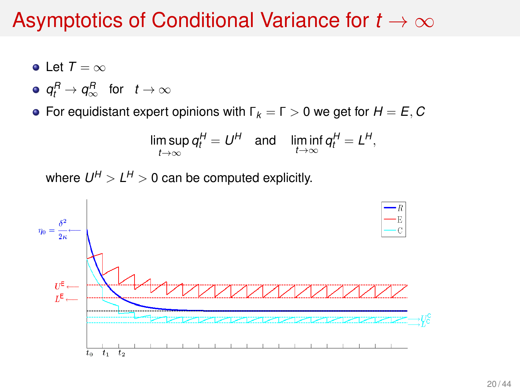#### Asymptotics of Conditional Variance for *t* → ∞

- Let  $T = \infty$
- $q_t^R \to q_\infty^R$  for  $t \to \infty$
- **•** For equidistant expert opinions with  $\Gamma_k = \Gamma > 0$  we get for  $H = E, C$

$$
\limsup_{t\to\infty} q_t^H = U^H \quad \text{and} \quad \liminf_{t\to\infty} q_t^H = L^H,
$$

where  $U^H > L^H > 0$  can be computed explicitly.

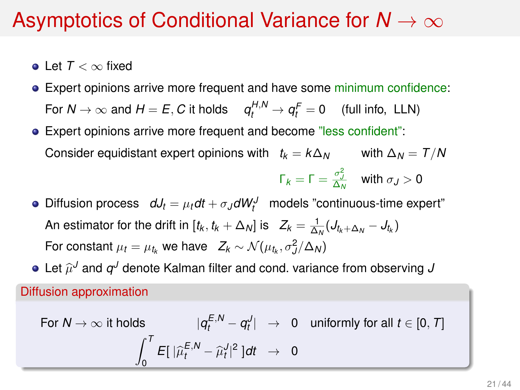#### Asymptotics of Conditional Variance for *N* → ∞

- Let *T* < ∞ fixed
- Expert opinions arrive more frequent and have some minimum confidence: For  $N \to \infty$  and  $H = E$ , C it holds  $q_t^{H,N} \to q_t^F = 0$  (full info, LLN)
- Expert opinions arrive more frequent and become "less confident": Consider equidistant expert opinions with  $t_k = k\Delta_N$  with  $\Delta_N = T/N$

$$
\Gamma_k = \Gamma = \frac{\sigma_J^2}{\Delta_N} \quad \text{with } \sigma_J > 0
$$

- Diffusion process  $dJ_t = \mu_t dt + \sigma_J dW_t^J$  models "continuous-time expert" An estimator for the drift in  $[t_k, t_k + \Delta_N]$  is  $Z_k = \frac{1}{\Delta_N} (J_{t_k + \Delta_N} - J_{t_k})$ For constant  $\mu_t = \mu_{t_k}$  we have  $Z_k \sim \mathcal{N}(\mu_{t_k}, \sigma_j^2/\Delta_N)$
- Let  $\widehat{\mu}^{J}$  and  $q^{J}$  denote Kalman filter and cond. variance from observing  $J$

Diffusion approximation

For 
$$
N \to \infty
$$
 it holds  $|q_t^{E,N} - q_t^J| \to 0$  uniformly for all  $t \in [0, T]$   

$$
\int_0^T E[ |\widehat{\mu}_t^{E,N} - \widehat{\mu}_t^J|^2 ] dt \to 0
$$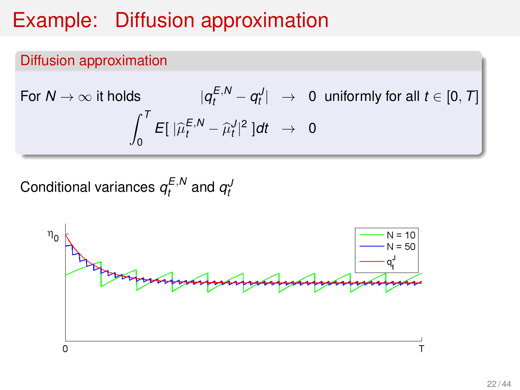# Example: Diffusion approximation

#### Diffusion approximation

For 
$$
N \to \infty
$$
 it holds  $|q_t^{E,N} - q_t^J| \to 0$  uniformly for all  $t \in [0, T]$   

$$
\int_0^T E[ |\widehat{\mu}_t^{E,N} - \widehat{\mu}_t^J|^2 ] dt \to 0
$$

Conditional variances  $q_t^{E,N}$  and  $q_t^{J}$ 

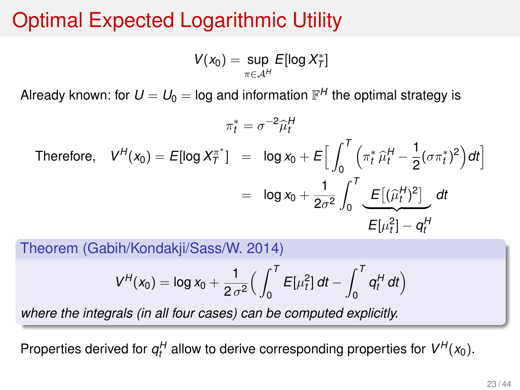# Optimal Expected Logarithmic Utility

 $V(x_0) = \sup_{\pi \in A^H}$  $E$ [log  $X^*_7$ ]

Already known: for  $U=U_0=$  log and information  $\mathbb{F}^H$  the optimal strategy is

$$
\pi_t^* = \sigma^{-2} \hat{\mu}_t^H
$$
\nTherefore,

\n
$$
V^H(x_0) = E[\log X_T^{*}] = \log x_0 + E\Big[\int_0^T \left(\pi_t^* \hat{\mu}_t^H - \frac{1}{2} (\sigma \pi_t^*)^2\right) dt\Big]
$$
\n
$$
= \log x_0 + \frac{1}{2\sigma^2} \int_0^T \underbrace{E\big[(\hat{\mu}_t^H)^2\big]}_{E[\mu_t^2] - q_t^H} dt
$$

Theorem (Gabih/Kondakji/Sass/W. 2014)

$$
V^H(x_0) = \log x_0 + \frac{1}{2 \sigma^2} \Big( \int_0^T E[\mu_t^2] dt - \int_0^T q_t^H dt \Big)
$$

*where the integrals (in all four cases) can be computed explicitly.*

Properties derived for  $q_t^H$  allow to derive corresponding properties for  $V^H(x_0)$ .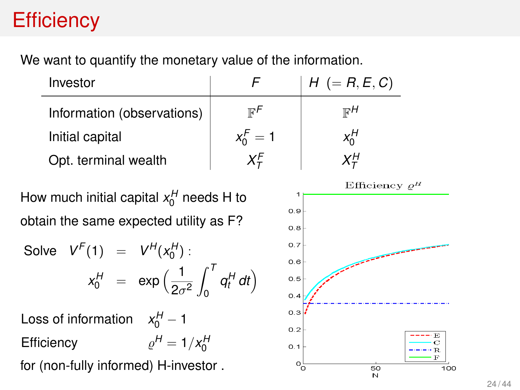# **Efficiency**

We want to quantify the monetary value of the information.

| Investor                   |             | $H (= R, E, C)$ |
|----------------------------|-------------|-----------------|
| Information (observations) | ⊮″          | ਾ $H$           |
| Initial capital            | $x_0^F = 1$ | $x_0^H$         |
| Opt. terminal wealth       | ΧF          | ΧH              |

How much initial capital  $x_0^H$  needs H to obtain the same expected utility as F?

Solve 
$$
V^F(1) = V^H(x_0^H)
$$
:  

$$
x_0^H = \exp\left(\frac{1}{2\sigma^2} \int_0^T q_t^H dt\right)
$$

Loss of information  $x_0^H - 1$ Efficiency  $H = 1/x_0^H$ 

for (non-fully informed) H-investor .

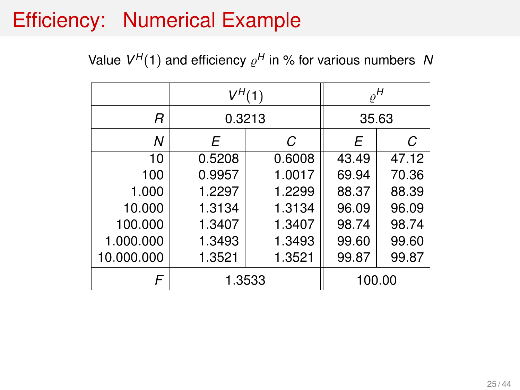# Efficiency: Numerical Example

Value  $V^H(1)$  and efficiency  $\varrho^H$  in % for various numbers N

|            | $V^H(1)$ |        | $\varrho^H$ |       |
|------------|----------|--------|-------------|-------|
| R          | 0.3213   |        | 35.63       |       |
| Ν          | F        | С      | F           | C     |
| 10         | 0.5208   | 0.6008 | 43.49       | 47.12 |
| 100        | 0.9957   | 1.0017 | 69.94       | 70.36 |
| 1.000      | 1.2297   | 1.2299 | 88.37       | 88.39 |
| 10.000     | 1.3134   | 1.3134 | 96.09       | 96.09 |
| 100.000    | 1.3407   | 1.3407 | 98.74       | 98.74 |
| 1.000.000  | 1.3493   | 1.3493 | 99.60       | 99.60 |
| 10.000.000 | 1.3521   | 1.3521 | 99.87       | 99.87 |
|            |          | 1.3533 | 100.00      |       |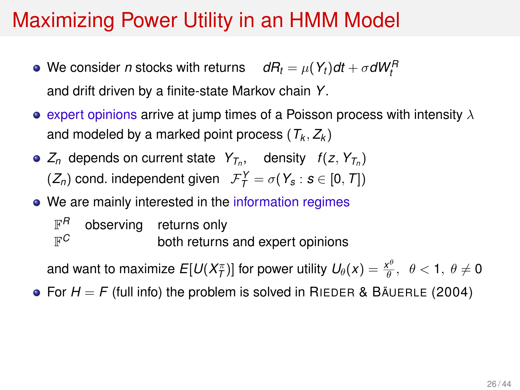# <span id="page-25-0"></span>Maximizing Power Utility in an HMM Model

- We consider *n* stocks with returns  $dR_t = \mu(Y_t)dt + \sigma dW_t^R$ and drift driven by a finite-state Markov chain *Y*.
- expert opinions arrive at jump times of a Poisson process with intensity  $\lambda$ and modeled by a marked point process  $(T_k, Z_k)$
- $Z_n$  depends on current state  $Y_{T_n}$ , density  $f(z, Y_{T_n})$  $(Z_n)$  cond. independent given  $\mathcal{F}_T^Y = \sigma(Y_s : s \in [0, T])$
- We are mainly interested in the information regimes

 $\mathbb{F}^H$ observing returns only  $\mathbb{F}^C$ both returns and expert opinions

and want to maximize  $E[U(X_T^\pi)]$  for power utility  $U_\theta(x) = \frac{x^\theta}{\theta}, \ \ \theta < 1, \ \theta \neq 0$ 

• For  $H = F$  (full info) the problem is solved in RIEDER & BAUERLE (2004)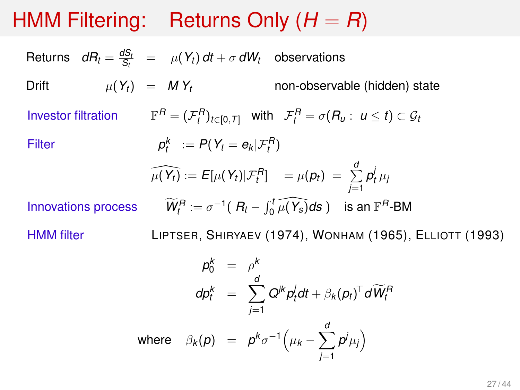# HMM Filtering: Returns Only (*H* = *R*)

Returns  $dR_t = \frac{dS_t}{S_t} = \mu(Y_t) dt + \sigma dW_t$  observations Drift  $\mu(Y_t) = M Y_t$  non-observable (hidden) state **Investor filtration**  $\mathcal{F}_t^R = (\mathcal{F}_t^R)_{t \in [0, T]}$  with  $\mathcal{F}_t^R = \sigma(R_u : u \le t) \subset \mathcal{G}_t$ **Filter**  $P_t^k := P(Y_t = e_k | \mathcal{F}_t^R)$  $\widehat{\mu(Y_t)} := E[\mu(Y_t)|\mathcal{F}_t^R] = \mu(p_t) = \sum_{i=1}^d$  $\sum_{j=1}^{\infty} p_t^j \mu_j$ **Innovations process**  $\widetilde{h}_t^R := \sigma^{-1}(R_t - \int_0^t \widehat{\mu(Y_s)} ds)$  is an  $\mathbb{F}^R$ -BM HMM filter LIPTSER, SHIRYAEV (1974), WONHAM (1965), ELLIOTT (1993)  $p_0^k = \rho^k$  $dp_t^k = \sum^d$ *j*=1  $Q^{jk}p_t^j dt + \beta_k (p_t)^T dW_t^R$ where  $\beta_k(p) = p^k \sigma^{-1} \Big( \mu_k - \sum_{k=1}^d p^k \sigma_k \Big)$  $p^j\mu_j$ 

*j*=1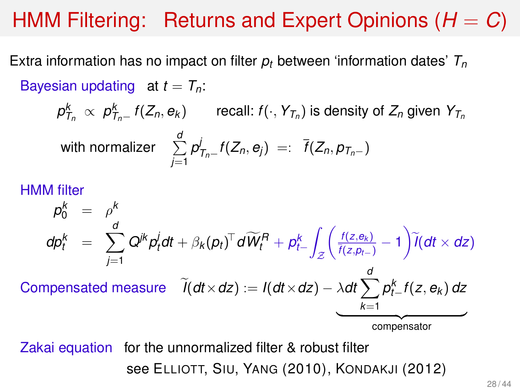# HMM Filtering: Returns and Expert Opinions (*H* = *C*)

Extra information has no impact on filter *p<sup>t</sup>* between 'information dates' *T<sup>n</sup>* Bayesian updating at  $t = T_n$ :

 $\rho^k_{\mathcal{T}_n} \, \propto \, \rho^k_{\mathcal{T}_n-} \, f(Z_n,e_k)$  recall:  $f(\cdot,\,Y_{\mathcal{T}_n})$  is density of  $Z_n$  given  $Y_{\mathcal{T}_n}$ 

with normalize 
$$
\sum_{j=1}^d p_{T_n-}^j f(Z_n, e_j) =: \overline{f}(Z_n, p_{T_n-})
$$

#### HMM filter

$$
p_0^k = \rho^k
$$
\n
$$
dp_t^k = \sum_{j=1}^d Q^{jk} p_t^j dt + \beta_k (p_t)^T d\widetilde{W}_t^R + p_{t-}^k \int_{\mathcal{Z}} \left( \frac{f(z, e_k)}{\overline{f}(z, p_{t-})} - 1 \right) \widetilde{I}(dt \times dz)
$$
\nCompensated measure\n
$$
\widetilde{I}(dt \times dz) := I(dt \times dz) - \lambda dt \sum_{k=1}^d p_{t-}^k f(z, e_k) dz
$$
\ncompensator

Zakai equation for the unnormalized filter & robust filter see ELLIOTT, SIU, YANG (2010), KONDAKJI (2012)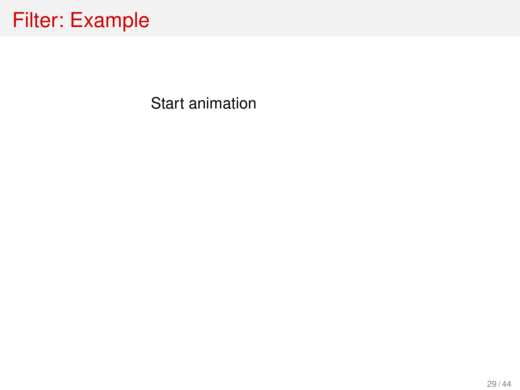Start animation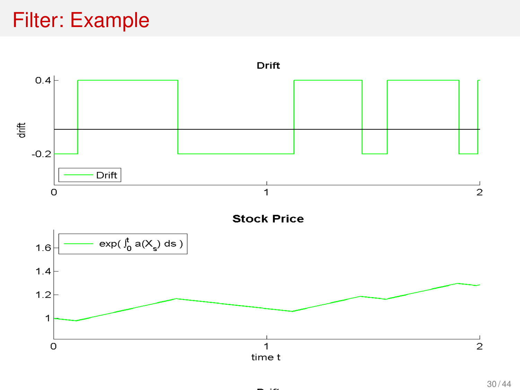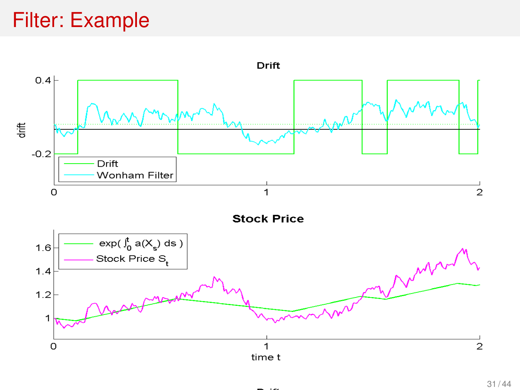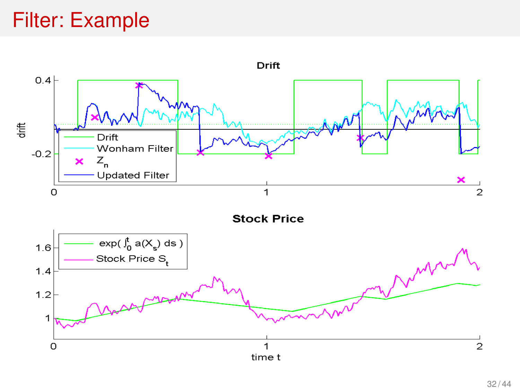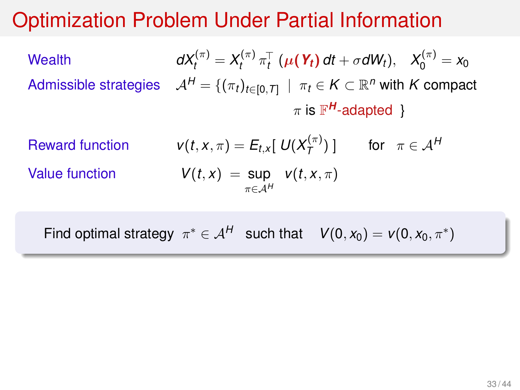#### Optimization Problem Under Partial Information

Wealth 
$$
dX_t^{(\pi)} = X_t^{(\pi)} \pi_t^{\top} (\mu(\mathbf{Y}_t) dt + \sigma dW_t), \quad X_0^{(\pi)} = x_0
$$
  
Admissible strategies  $\mathcal{A}^H = \{ (\pi_t)_{t \in [0, T]} \mid \pi_t \in K \subset \mathbb{R}^n \text{ with } K \text{ compact}$ 
$$
\pi \text{ is } \mathbb{F}^H\text{-adapted }
$$

 $R$ *eward* function

 $Value function$ 

$$
v(t, x, \pi) = E_{t,x}[ U(X_T^{(\pi)}) ] \quad \text{for } \pi \in \mathcal{A}^H
$$
  

$$
V(t, x) = \sup_{\pi \in \mathcal{A}^H} v(t, x, \pi)
$$

Find optimal strategy  $\pi^* \in A^H$  such that  $V(0, x_0) = V(0, x_0, \pi^*)$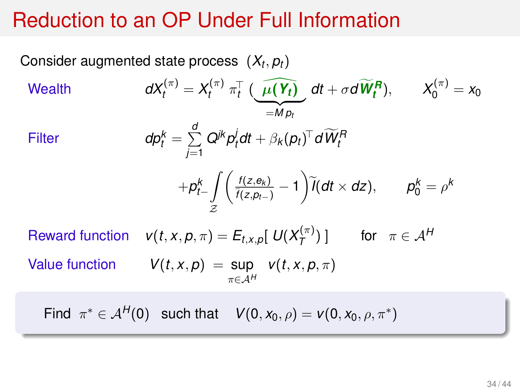#### Reduction to an OP Under Full Information

Consider augmented state process 
$$
(X_t, p_t)
$$
  
\nWealth\n
$$
dX_t^{(\pi)} = X_t^{(\pi)} \pi_t^{\top} (\widehat{\mu(Y_t)} dt + \sigma d\widetilde{W}_t^R), \qquad X_0^{(\pi)} = x_0
$$
\nFitter\n
$$
d\rho_t^k = \sum_{j=1}^d Q^{jk} p_t^j dt + \beta_k (p_t)^{\top} d\widetilde{W}_t^R
$$
\n
$$
+ p_{t-}^k \int_{\mathcal{Z}} \left( \frac{f(z, e_k)}{\overline{f(z, p_{t-})}} - 1 \right) \widetilde{I}(dt \times dz), \qquad p_0^k = \rho^k
$$
\nReward function

\n
$$
v(t, x, p, \pi) = E_{t, x, p}[ U(X_T^{(\pi)}) ] \qquad \text{for } \pi \in \mathcal{A}^H
$$
\nValue function

\n
$$
V(t, x, p) = \sup_{\pi \in \mathcal{A}^H} v(t, x, p, \pi)
$$

Find  $\pi^* \in A^H(0)$  such that  $V(0, x_0, \rho) = V(0, x_0, \rho, \pi^*)$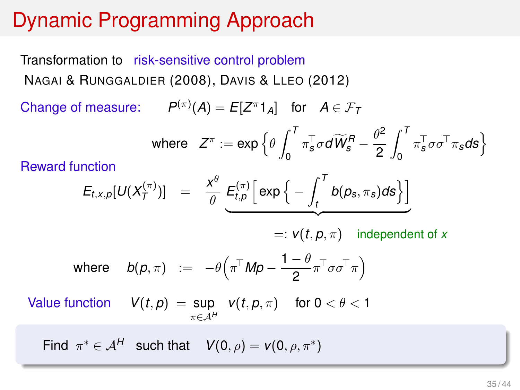# Dynamic Programming Approach

Transformation to risk-sensitive control problem NAGAI & RUNGGALDIER (2008), DAVIS & LLEO (2012)

Change of measure:  $P^{(\pi)}(A) = E[Z^{\pi}1_A]$  for  $A \in \mathcal{F}_T$ 

$$
\text{where} \quad Z^{\pi}:=\exp\Big\{\theta\int_{0}^{T}\pi^{\top}_{s}\sigma d\widetilde{W}_{s}^{R}-\frac{\theta^{2}}{2}\int_{0}^{T}\pi^{\top}_{s}\sigma\sigma^{\top}\pi_{s}d\mathbf{s}\Big\}
$$

Reward function

$$
E_{t,x,p}[U(X_T^{(\pi)})] = \frac{x^{\theta}}{\theta} \underbrace{E_{t,p}^{(\pi)} \left[ \exp \left\{-\int_t^T b(p_s,\pi_s) ds\right\} \right]}_{\text{max}}
$$

 $=:\mathbf{v}(t,\mathbf{p},\pi)$  independent of *x* 

where 
$$
b(p, \pi) := -\theta\left(\pi^{\top}Mp - \frac{1-\theta}{2}\pi^{\top}\sigma\sigma^{\top}\pi\right)
$$

Value function  $V(t, p) = \sup$ π∈A*<sup>H</sup> v*(*t*, *p*,  $\pi$ ) for 0 <  $\theta$  < 1

Find  $\pi^* \in A^H$  such that  $V(0, \rho) = V(0, \rho, \pi^*)$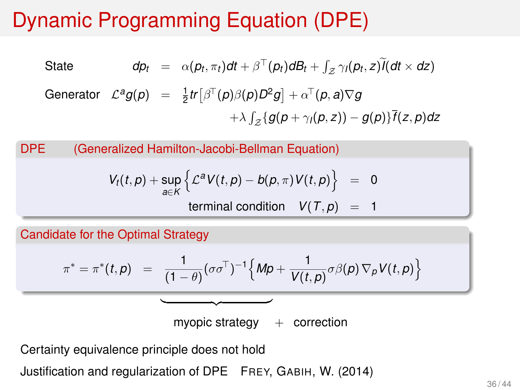# Dynamic Programming Equation (DPE)

State 
$$
dp_t = \alpha(p_t, \pi_t)dt + \beta^{\top}(p_t)dB_t + \int_{\mathcal{Z}} \gamma_l(p_t, z)\widetilde{I}(dt \times dz)
$$
  
Generator  $\mathcal{L}^a g(p) = \frac{1}{2}tr[\beta^{\top}(p)\beta(p)D^2g] + \alpha^{\top}(p, a)\nabla g$ 
$$
+ \lambda \int_{\mathcal{Z}} \{g(p + \gamma_l(p, z)) - g(p)\}\overline{f}(z, p)dz
$$

DPE (Generalized Hamilton-Jacobi-Bellman Equation)

$$
V_t(t,p) + \sup_{a \in K} \left\{ \mathcal{L}^a V(t,p) - b(p,\pi) V(t,p) \right\} = 0
$$
  
terminal condition  $V(T,p) = 1$ 

Candidate for the Optimal Strategy

$$
\pi^* = \pi^*(t, p) = \frac{1}{(1-\theta)} (\sigma \sigma^{\top})^{-1} \Big\{ M p + \frac{1}{V(t, p)} \sigma \beta(p) \nabla_p V(t, p) \Big\}
$$

myopic strategy  $+$  correction

Certainty equivalence principle does not hold

Justification and regularization of DPE FREY, GABIH, W. (2014)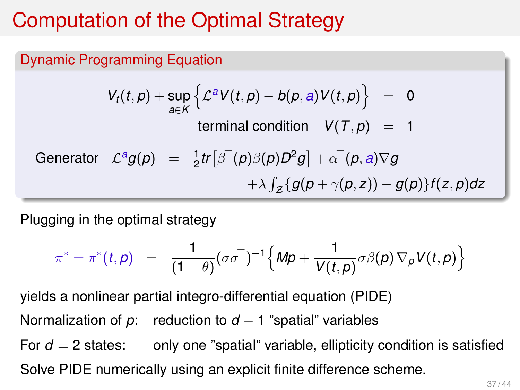# Computation of the Optimal Strategy

#### Dynamic Programming Equation

$$
V_t(t,p) + \sup_{a \in K} \left\{ \mathcal{L}^a V(t,p) - b(p,a) V(t,p) \right\} = 0
$$
  
terminal condition  $V(T,p) = 1$   
Generator  $\mathcal{L}^a g(p) = \frac{1}{2} tr [\beta^T(p)\beta(p)D^2g] + \alpha^T(p,a)\nabla g$   
 $+ \lambda \int_{\mathcal{Z}} \{ g(p + \gamma(p,z)) - g(p) \} \overline{f}(z,p) dz$ 

Plugging in the optimal strategy

$$
\pi^* = \pi^*(t, \rho) = \frac{1}{(1-\theta)} (\sigma \sigma^{\top})^{-1} \Big\{ M \rho + \frac{1}{V(t, \rho)} \sigma \beta(\rho) \nabla_{\rho} V(t, \rho) \Big\}
$$

yields a nonlinear partial integro-differential equation (PIDE) Normalization of *p*: reduction to *d* − 1 "spatial" variables For  $d = 2$  states: only one "spatial" variable, ellipticity condition is satisfied Solve PIDE numerically using an explicit finite difference scheme.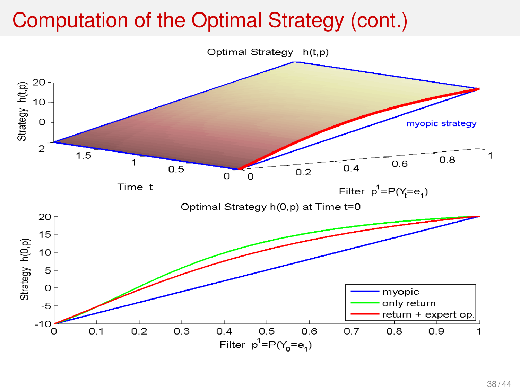# Computation of the Optimal Strategy (cont.)

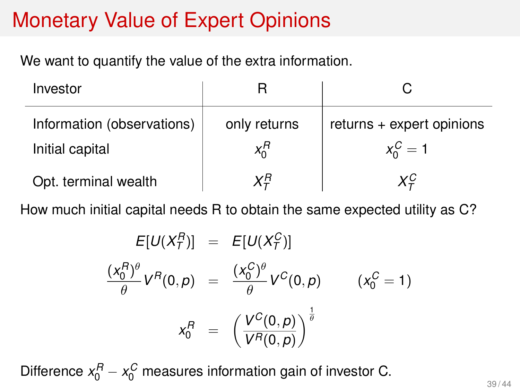# Monetary Value of Expert Opinions

We want to quantify the value of the extra information.

| Investor                   |              |                             |
|----------------------------|--------------|-----------------------------|
| Information (observations) | only returns | returns $+$ expert opinions |
| Initial capital            | $x_0^R$      | $x_0^C = 1$                 |
| Opt. terminal wealth       | $X^R_{\tau}$ | ХÇ                          |

How much initial capital needs R to obtain the same expected utility as C?

$$
E[U(X_T^B)] = E[U(X_T^C)]
$$
  
\n
$$
\frac{(x_0^B)^{\theta}}{\theta} V^B(0, p) = \frac{(x_0^C)^{\theta}}{\theta} V^C(0, p) \qquad (x_0^C = 1)
$$
  
\n
$$
x_0^B = \left(\frac{V^C(0, p)}{V^B(0, p)}\right)^{\frac{1}{\theta}}
$$

Difference  $x_0^R - x_0^C$  measures information gain of investor C.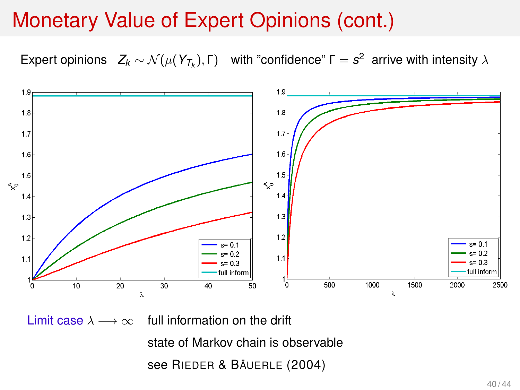#### Monetary Value of Expert Opinions (cont.)

Expert opinions  $Z_k \sim \mathcal{N}(\mu(Y_{T_k}), \Gamma)$  with "confidence"  $\Gamma = s^2$  arrive with intensity  $\lambda$ 



Limit case  $\lambda \longrightarrow \infty$  full information on the drift

state of Markov chain is observable

see RIEDER & BÄUERLE (2004)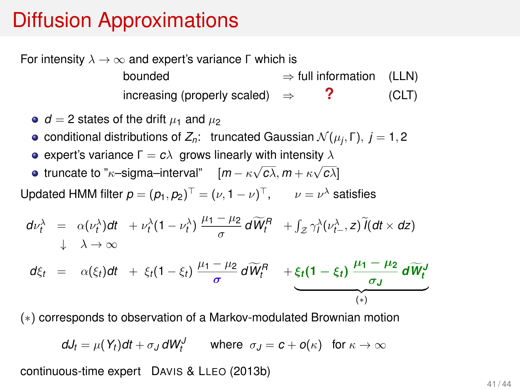#### Diffusion Approximations

For intensity  $\lambda \to \infty$  and expert's variance Γ which is

 $bounded \Rightarrow full information (LLN)$ increasing (properly scaled) ⇒ **?** (CLT)

- $d = 2$  states of the drift  $\mu_1$  and  $\mu_2$
- conditional distributions of  $Z_n$ : truncated Gaussian  $\mathcal{N}(\mu_i, \Gamma)$ ,  $j = 1, 2$
- **e** expert's variance  $Γ = cλ$  grows linearly with intensity λ
- truncate to " $\kappa$ –sigma–interval"  $[m \kappa \sqrt{c\lambda}, m + \kappa \sqrt{c\lambda}]$

Updated HMM filter  $p = (p_1, p_2)^T = (\nu, 1 - \nu)^T$ ,  $\nu = \nu^{\lambda}$  satisfies

$$
d\nu_t^{\lambda} = \alpha(\nu_t^{\lambda})dt + \nu_t^{\lambda}(1-\nu_t^{\lambda})\frac{\mu_1-\mu_2}{\sigma}d\widetilde{W}_t^R + \int_{\mathcal{Z}}\gamma_t^{\lambda}(\nu_t^{\lambda},z)\widetilde{I}(dt\times dz)
$$
  

$$
d\xi_t = \alpha(\xi_t)dt + \xi_t(1-\xi_t)\frac{\mu_1-\mu_2}{\sigma}d\widetilde{W}_t^R + \underbrace{\xi_t(1-\xi_t)\frac{\mu_1-\mu_2}{\sigma_J}d\widetilde{W}_t^J}_{(*)}
$$

(∗) corresponds to observation of a Markov-modulated Brownian motion

$$
dJ_t = \mu(Y_t)dt + \sigma_J dW_t^J \qquad \text{where} \ \sigma_J = c + o(\kappa) \ \text{ for } \kappa \to \infty
$$

continuous-time expert DAVIS & LLEO (2013b)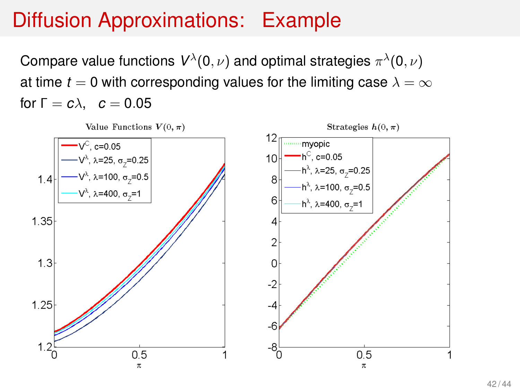# Diffusion Approximations: Example

Compare value functions  $V^{\lambda}(0,\nu)$  and optimal strategies  $\pi^{\lambda}(0,\nu)$ at time  $t = 0$  with corresponding values for the limiting case  $\lambda = \infty$ for  $\Gamma = c\lambda$ ,  $c = 0.05$ 

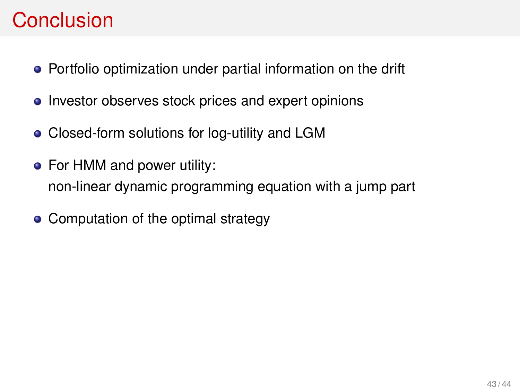## Conclusion

- Portfolio optimization under partial information on the drift
- Investor observes stock prices and expert opinions
- Closed-form solutions for log-utility and LGM
- For HMM and power utility: non-linear dynamic programming equation with a jump part
- Computation of the optimal strategy